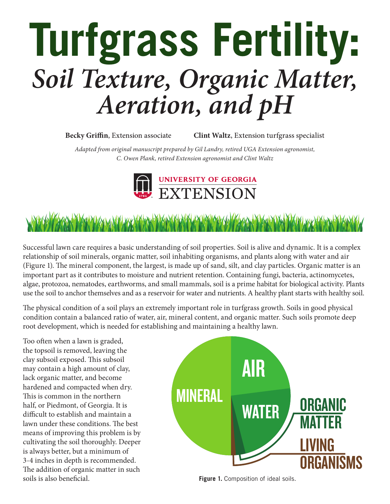# **Turfgrass Fertility:** *Soil Texture, Organic Matter, Aeration, and pH*

**Becky Griffin**, Extension associate **Clint Waltz**, Extension turfgrass specialist

*Adapted from original manuscript prepared by Gil Landry, retired UGA Extension agronomist, C. Owen Plank, retired Extension agronomist and Clint Waltz*





Successful lawn care requires a basic understanding of soil properties. Soil is alive and dynamic. It is a complex relationship of soil minerals, organic matter, soil inhabiting organisms, and plants along with water and air (Figure 1). The mineral component, the largest, is made up of sand, silt, and clay particles. Organic matter is an important part as it contributes to moisture and nutrient retention. Containing fungi, bacteria, actinomycetes, algae, protozoa, nematodes, earthworms, and small mammals, soil is a prime habitat for biological activity. Plants use the soil to anchor themselves and as a reservoir for water and nutrients. A healthy plant starts with healthy soil.

The physical condition of a soil plays an extremely important role in turfgrass growth. Soils in good physical condition contain a balanced ratio of water, air, mineral content, and organic matter. Such soils promote deep root development, which is needed for establishing and maintaining a healthy lawn.

Too often when a lawn is graded, the topsoil is removed, leaving the clay subsoil exposed. This subsoil may contain a high amount of clay, lack organic matter, and become hardened and compacted when dry. This is common in the northern half, or Piedmont, of Georgia. It is difficult to establish and maintain a lawn under these conditions. The best means of improving this problem is by cultivating the soil thoroughly. Deeper is always better, but a minimum of 3-4 inches in depth is recommended. The addition of organic matter in such soils is also beneficial.



**Figure 1.** Composition of ideal soils.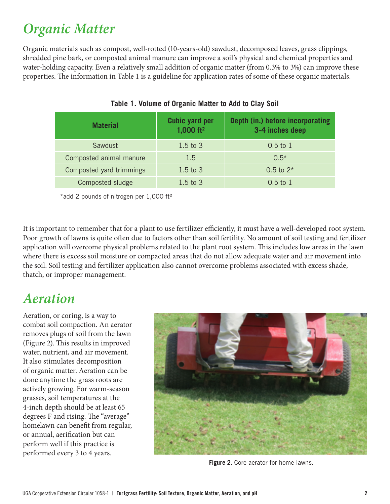### *Organic Matter*

Organic materials such as compost, well-rotted (10-years-old) sawdust, decomposed leaves, grass clippings, shredded pine bark, or composted animal manure can improve a soil's physical and chemical properties and water-holding capacity. Even a relatively small addition of organic matter (from 0.3% to 3%) can improve these properties. The information in Table 1 is a guideline for application rates of some of these organic materials.

| <b>Material</b>          | <b>Cubic yard per</b><br>1,000 ft <sup>2</sup> | Depth (in.) before incorporating<br>3-4 inches deep |
|--------------------------|------------------------------------------------|-----------------------------------------------------|
| Sawdust                  | $1.5$ to $3$                                   | $0.5$ to $1$                                        |
| Composted animal manure  | 1.5                                            | $0.5*$                                              |
| Composted yard trimmings | $1.5$ to $3$                                   | 0.5 to $2*$                                         |
| Composted sludge         | $1.5$ to $3$                                   | $0.5 \text{ to } 1$                                 |

#### **Table 1. Volume of Organic Matter to Add to Clay Soil**

\*add 2 pounds of nitrogen per 1,000 ft²

It is important to remember that for a plant to use fertilizer efficiently, it must have a well-developed root system. Poor growth of lawns is quite often due to factors other than soil fertility. No amount of soil testing and fertilizer application will overcome physical problems related to the plant root system. This includes low areas in the lawn where there is excess soil moisture or compacted areas that do not allow adequate water and air movement into the soil. Soil testing and fertilizer application also cannot overcome problems associated with excess shade, thatch, or improper management.

#### *Aeration*

Aeration, or coring, is a way to combat soil compaction. An aerator removes plugs of soil from the lawn (Figure 2). This results in improved water, nutrient, and air movement. It also stimulates decomposition of organic matter. Aeration can be done anytime the grass roots are actively growing. For warm-season grasses, soil temperatures at the 4-inch depth should be at least 65 degrees F and rising. The "average" homelawn can benefit from regular, or annual, aerification but can perform well if this practice is performed every 3 to 4 years.



**Figure 2.** Core aerator for home lawns.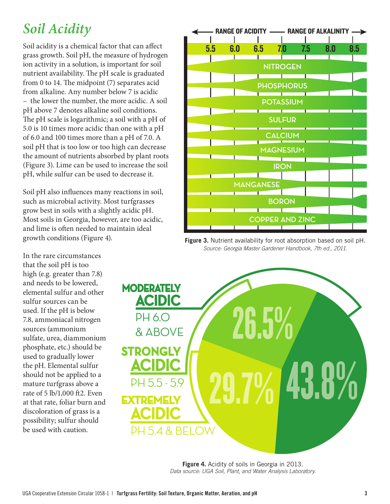## *Soil Acidity*

Soil acidity is a chemical factor that can affect grass growth. Soil pH, the measure of hydrogen ion activity in a solution, is important for soil nutrient availability. The pH scale is graduated from 0 to 14. The midpoint (7) separates acid from alkaline. Any number below 7 is acidic – the lower the number, the more acidic. A soil pH above 7 denotes alkaline soil conditions. The pH scale is logarithmic; a soil with a pH of 5.0 is 10 times more acidic than one with a pH of 6.0 and 100 times more than a pH of 7.0. A soil pH that is too low or too high can decrease the amount of nutrients absorbed by plant roots (Figure 3). Lime can be used to increase the soil pH, while sulfur can be used to decrease it.

Soil pH also influences many reactions in soil, such as microbial activity. Most turfgrasses grow best in soils with a slightly acidic pH. Most soils in Georgia, however, are too acidic, and lime is often needed to maintain ideal growth conditions (Figure 4).

In the rare circumstances that the soil pH is too high (e.g. greater than 7.8) and needs to be lowered, elemental sulfur and other sulfur sources can be used. If the pH is below 7.8, ammoniacal nitrogen sources (ammonium sulfate, urea, diammonium phosphate, etc.) should be used to gradually lower the pH. Elemental sulfur should not be applied to a mature turfgrass above a rate of 5 lb/1,000 ft2. Even at that rate, foliar burn and discoloration of grass is a possibility; sulfur should be used with caution.



RANGE OF ACIDITY - RANGE OF ALKALINITY

5.5 6.0 6.5 7.0 7.5 8.0 8.5

**NITROGEN**

**Figure 4.** Acidity of soils in Georgia in 2013. *Data source: UGA Soil, Plant, and Water Analysis Laboratory.*